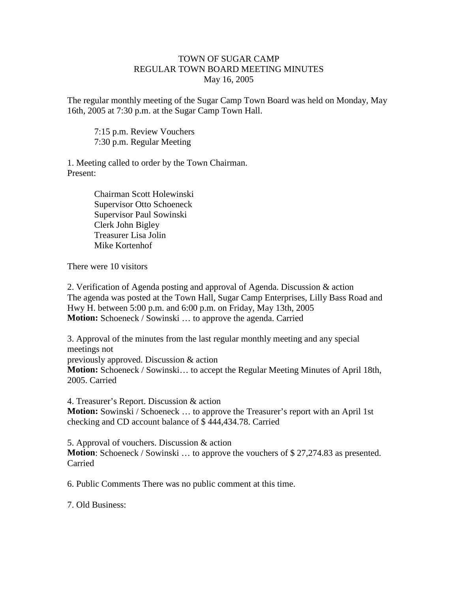## TOWN OF SUGAR CAMP REGULAR TOWN BOARD MEETING MINUTES May 16, 2005

The regular monthly meeting of the Sugar Camp Town Board was held on Monday, May 16th, 2005 at 7:30 p.m. at the Sugar Camp Town Hall.

7:15 p.m. Review Vouchers 7:30 p.m. Regular Meeting

1. Meeting called to order by the Town Chairman. Present:

> Chairman Scott Holewinski Supervisor Otto Schoeneck Supervisor Paul Sowinski Clerk John Bigley Treasurer Lisa Jolin Mike Kortenhof

There were 10 visitors

2. Verification of Agenda posting and approval of Agenda. Discussion & action The agenda was posted at the Town Hall, Sugar Camp Enterprises, Lilly Bass Road and Hwy H. between 5:00 p.m. and 6:00 p.m. on Friday, May 13th, 2005 **Motion:** Schoeneck / Sowinski … to approve the agenda. Carried

3. Approval of the minutes from the last regular monthly meeting and any special meetings not previously approved. Discussion & action **Motion:** Schoeneck / Sowinski… to accept the Regular Meeting Minutes of April 18th, 2005. Carried

4. Treasurer's Report. Discussion & action **Motion:** Sowinski / Schoeneck … to approve the Treasurer's report with an April 1st checking and CD account balance of \$ 444,434.78. Carried

5. Approval of vouchers. Discussion & action **Motion**: Schoeneck / Sowinski ... to approve the vouchers of \$27,274.83 as presented. Carried

6. Public Comments There was no public comment at this time.

7. Old Business: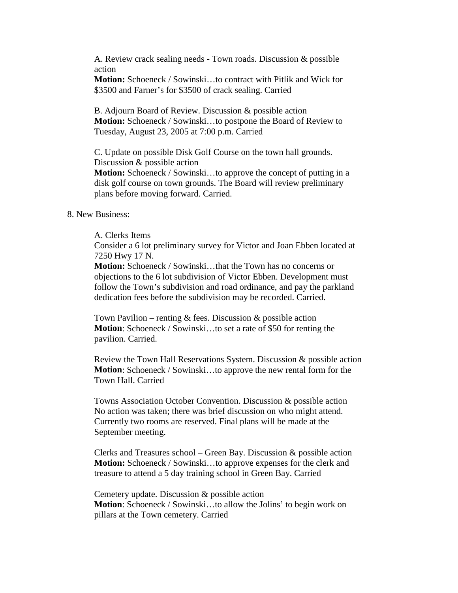A. Review crack sealing needs - Town roads. Discussion & possible action

**Motion:** Schoeneck / Sowinski…to contract with Pitlik and Wick for \$3500 and Farner's for \$3500 of crack sealing. Carried

B. Adjourn Board of Review. Discussion & possible action **Motion:** Schoeneck / Sowinski…to postpone the Board of Review to Tuesday, August 23, 2005 at 7:00 p.m. Carried

C. Update on possible Disk Golf Course on the town hall grounds. Discussion & possible action **Motion:** Schoeneck / Sowinski…to approve the concept of putting in a disk golf course on town grounds. The Board will review preliminary plans before moving forward. Carried.

## 8. New Business:

## A. Clerks Items

Consider a 6 lot preliminary survey for Victor and Joan Ebben located at 7250 Hwy 17 N.

**Motion:** Schoeneck / Sowinski…that the Town has no concerns or objections to the 6 lot subdivision of Victor Ebben. Development must follow the Town's subdivision and road ordinance, and pay the parkland dedication fees before the subdivision may be recorded. Carried.

Town Pavilion – renting  $&$  fees. Discussion  $&$  possible action **Motion**: Schoeneck / Sowinski…to set a rate of \$50 for renting the pavilion. Carried.

Review the Town Hall Reservations System. Discussion & possible action **Motion**: Schoeneck / Sowinski…to approve the new rental form for the Town Hall. Carried

Towns Association October Convention. Discussion & possible action No action was taken; there was brief discussion on who might attend. Currently two rooms are reserved. Final plans will be made at the September meeting.

Clerks and Treasures school – Green Bay. Discussion  $\&$  possible action **Motion:** Schoeneck / Sowinski...to approve expenses for the clerk and treasure to attend a 5 day training school in Green Bay. Carried

Cemetery update. Discussion & possible action **Motion**: Schoeneck / Sowinski...to allow the Jolins' to begin work on pillars at the Town cemetery. Carried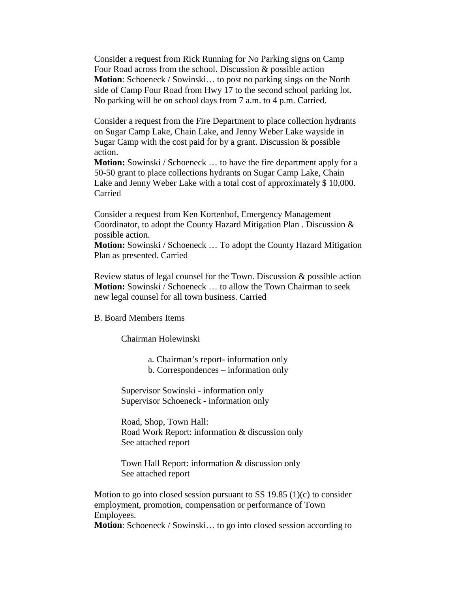Consider a request from Rick Running for No Parking signs on Camp Four Road across from the school. Discussion & possible action **Motion**: Schoeneck / Sowinski... to post no parking sings on the North side of Camp Four Road from Hwy 17 to the second school parking lot. No parking will be on school days from 7 a.m. to 4 p.m. Carried.

Consider a request from the Fire Department to place collection hydrants on Sugar Camp Lake, Chain Lake, and Jenny Weber Lake wayside in Sugar Camp with the cost paid for by a grant. Discussion & possible action.

**Motion:** Sowinski / Schoeneck ... to have the fire department apply for a 50-50 grant to place collections hydrants on Sugar Camp Lake, Chain Lake and Jenny Weber Lake with a total cost of approximately \$10,000. Carried

Consider a request from Ken Kortenhof, Emergency Management Coordinator, to adopt the County Hazard Mitigation Plan . Discussion & possible action.

**Motion:** Sowinski / Schoeneck … To adopt the County Hazard Mitigation Plan as presented. Carried

Review status of legal counsel for the Town. Discussion & possible action **Motion:** Sowinski / Schoeneck ... to allow the Town Chairman to seek new legal counsel for all town business. Carried

## B. Board Members Items

Chairman Holewinski

a. Chairman's report- information only

b. Correspondences – information only

Supervisor Sowinski - information only Supervisor Schoeneck - information only

Road, Shop, Town Hall: Road Work Report: information & discussion only See attached report

Town Hall Report: information & discussion only See attached report

Motion to go into closed session pursuant to SS  $19.85$  (1)(c) to consider employment, promotion, compensation or performance of Town Employees.

**Motion**: Schoeneck / Sowinski... to go into closed session according to